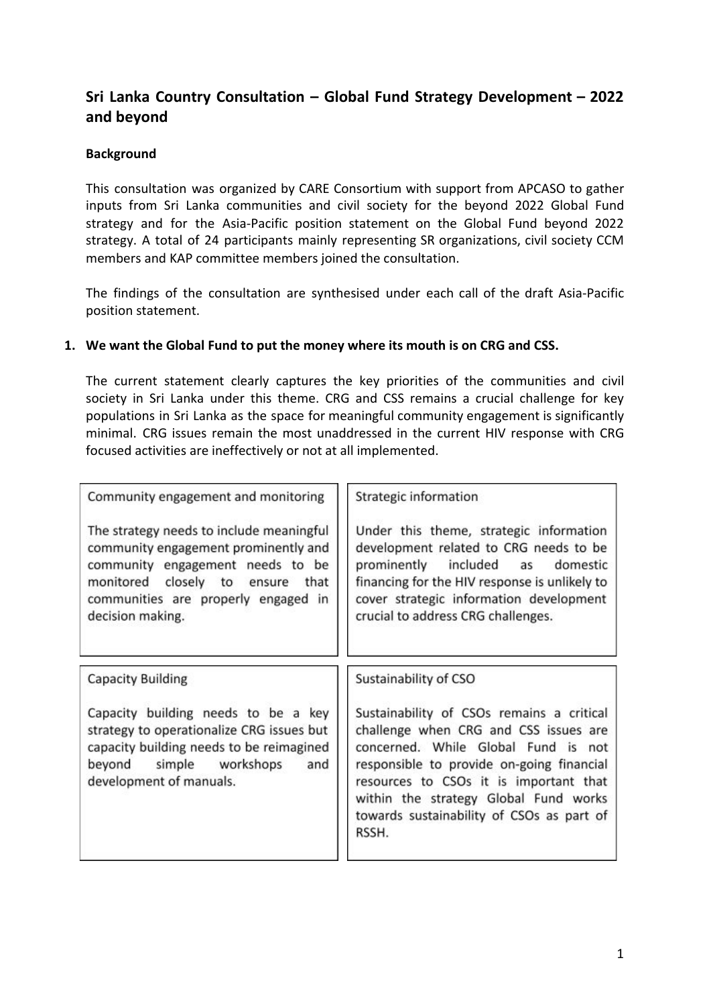# **Sri Lanka Country Consultation – Global Fund Strategy Development – 2022 and beyond**

# **Background**

This consultation was organized by CARE Consortium with support from APCASO to gather inputs from Sri Lanka communities and civil society for the beyond 2022 Global Fund strategy and for the Asia-Pacific position statement on the Global Fund beyond 2022 strategy. A total of 24 participants mainly representing SR organizations, civil society CCM members and KAP committee members joined the consultation.

The findings of the consultation are synthesised under each call of the draft Asia-Pacific position statement.

### **1. We want the Global Fund to put the money where its mouth is on CRG and CSS.**

The current statement clearly captures the key priorities of the communities and civil society in Sri Lanka under this theme. CRG and CSS remains a crucial challenge for key populations in Sri Lanka as the space for meaningful community engagement is significantly minimal. CRG issues remain the most unaddressed in the current HIV response with CRG focused activities are ineffectively or not at all implemented.

| Community engagement and monitoring                                                                                                                                                                                 | Strategic information                                                                                                                                                                                                                                                                                           |
|---------------------------------------------------------------------------------------------------------------------------------------------------------------------------------------------------------------------|-----------------------------------------------------------------------------------------------------------------------------------------------------------------------------------------------------------------------------------------------------------------------------------------------------------------|
| The strategy needs to include meaningful<br>community engagement prominently and<br>community engagement needs to be<br>monitored closely to ensure that<br>communities are properly engaged in<br>decision making. | Under this theme, strategic information<br>development related to CRG needs to be<br>prominently included as<br>domestic<br>financing for the HIV response is unlikely to<br>cover strategic information development<br>crucial to address CRG challenges.                                                      |
| <b>Capacity Building</b>                                                                                                                                                                                            | Sustainability of CSO                                                                                                                                                                                                                                                                                           |
| Capacity building needs to be a key<br>strategy to operationalize CRG issues but<br>capacity building needs to be reimagined<br>beyond simple workshops<br>and<br>development of manuals.                           | Sustainability of CSOs remains a critical<br>challenge when CRG and CSS issues are<br>concerned. While Global Fund is not<br>responsible to provide on-going financial<br>resources to CSOs it is important that<br>within the strategy Global Fund works<br>towards sustainability of CSOs as part of<br>RSSH. |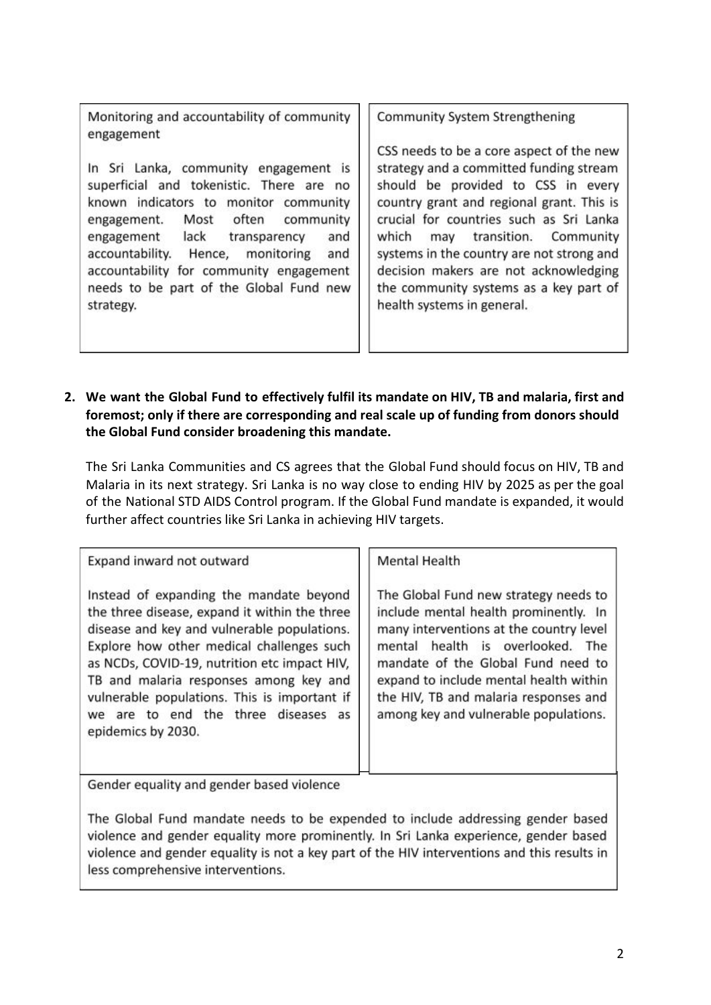Monitoring and accountability of community engagement

In Sri Lanka, community engagement is superficial and tokenistic. There are no known indicators to monitor community Most community engagement. often engagement lack transparency and accountability. Hence, monitoring and accountability for community engagement needs to be part of the Global Fund new strategy.

**Community System Strengthening** 

CSS needs to be a core aspect of the new strategy and a committed funding stream should be provided to CSS in every country grant and regional grant. This is crucial for countries such as Sri Lanka which may transition. Community systems in the country are not strong and decision makers are not acknowledging the community systems as a key part of health systems in general.

**2. We want the Global Fund to effectively fulfil its mandate on HIV, TB and malaria, first and foremost; only if there are corresponding and real scale up of funding from donors should the Global Fund consider broadening this mandate.** 

The Sri Lanka Communities and CS agrees that the Global Fund should focus on HIV, TB and Malaria in its next strategy. Sri Lanka is no way close to ending HIV by 2025 as per the goal of the National STD AIDS Control program. If the Global Fund mandate is expanded, it would further affect countries like Sri Lanka in achieving HIV targets.

| Expand inward not outward                                                                                                                                                                                                                                                                                                                                                                      | <b>Mental Health</b>                                                                                                                                                                                                                                                                                                               |
|------------------------------------------------------------------------------------------------------------------------------------------------------------------------------------------------------------------------------------------------------------------------------------------------------------------------------------------------------------------------------------------------|------------------------------------------------------------------------------------------------------------------------------------------------------------------------------------------------------------------------------------------------------------------------------------------------------------------------------------|
| Instead of expanding the mandate beyond<br>the three disease, expand it within the three<br>disease and key and vulnerable populations.<br>Explore how other medical challenges such<br>as NCDs, COVID-19, nutrition etc impact HIV,<br>TB and malaria responses among key and<br>vulnerable populations. This is important if<br>are to end the three diseases as<br>we<br>epidemics by 2030. | The Global Fund new strategy needs to<br>include mental health prominently. In<br>many interventions at the country level<br>health is overlooked. The<br>mental<br>mandate of the Global Fund need to<br>expand to include mental health within<br>the HIV, TB and malaria responses and<br>among key and vulnerable populations. |

Gender equality and gender based violence

The Global Fund mandate needs to be expended to include addressing gender based violence and gender equality more prominently. In Sri Lanka experience, gender based violence and gender equality is not a key part of the HIV interventions and this results in less comprehensive interventions.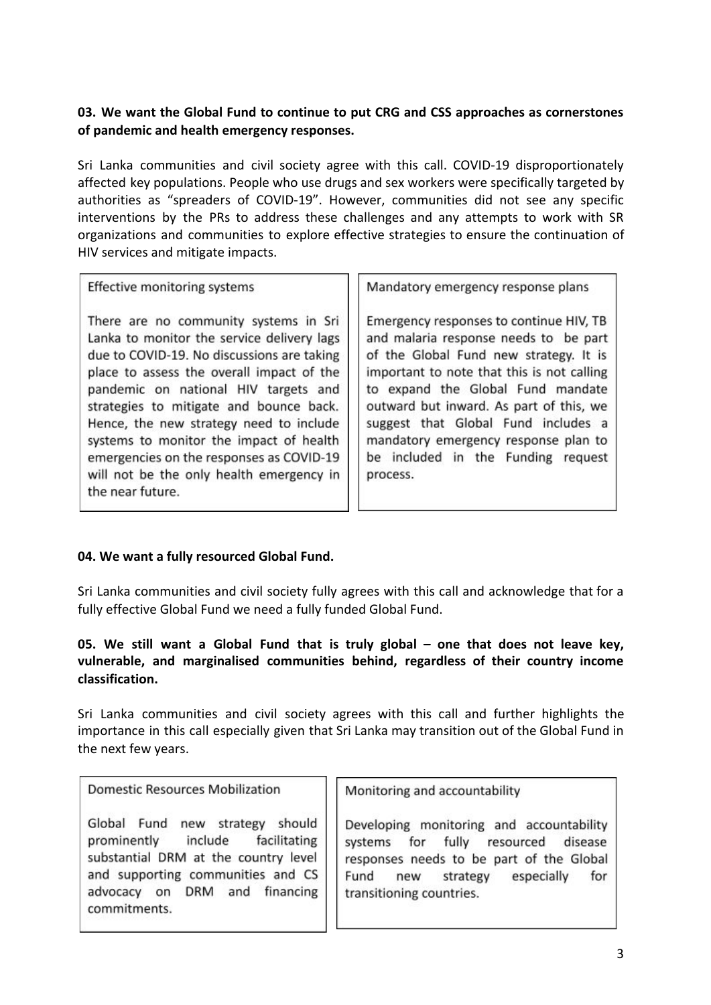# **03. We want the Global Fund to continue to put CRG and CSS approaches as cornerstones of pandemic and health emergency responses.**

Sri Lanka communities and civil society agree with this call. COVID-19 disproportionately affected key populations. People who use drugs and sex workers were specifically targeted by authorities as "spreaders of COVID-19". However, communities did not see any specific interventions by the PRs to address these challenges and any attempts to work with SR organizations and communities to explore effective strategies to ensure the continuation of HIV services and mitigate impacts.

 $\sim$  100

| Effective monitoring systems                                                                                                                                                                                                                                                                                                                                                                                                                                        | Mandatory emergency response plans                                                                                                                                                                                                                                                                                                                                                        |
|---------------------------------------------------------------------------------------------------------------------------------------------------------------------------------------------------------------------------------------------------------------------------------------------------------------------------------------------------------------------------------------------------------------------------------------------------------------------|-------------------------------------------------------------------------------------------------------------------------------------------------------------------------------------------------------------------------------------------------------------------------------------------------------------------------------------------------------------------------------------------|
| There are no community systems in Sri<br>Lanka to monitor the service delivery lags<br>due to COVID-19. No discussions are taking<br>place to assess the overall impact of the<br>pandemic on national HIV targets and<br>strategies to mitigate and bounce back.<br>Hence, the new strategy need to include<br>systems to monitor the impact of health<br>emergencies on the responses as COVID-19<br>will not be the only health emergency in<br>the near future. | Emergency responses to continue HIV, TB<br>and malaria response needs to be part<br>of the Global Fund new strategy. It is<br>important to note that this is not calling<br>to expand the Global Fund mandate<br>outward but inward. As part of this, we<br>suggest that Global Fund includes a<br>mandatory emergency response plan to<br>be included in the Funding request<br>process. |

# **04. We want a fully resourced Global Fund.**

Е

Sri Lanka communities and civil society fully agrees with this call and acknowledge that for a fully effective Global Fund we need a fully funded Global Fund.

# **05. We still want a Global Fund that is truly global – one that does not leave key, vulnerable, and marginalised communities behind, regardless of their country income classification.**

Sri Lanka communities and civil society agrees with this call and further highlights the importance in this call especially given that Sri Lanka may transition out of the Global Fund in the next few years.

# **Domestic Resources Mobilization**

Global Fund new strategy should prominently include facilitating substantial DRM at the country level and supporting communities and CS advocacy on DRM and financing commitments.

#### Monitoring and accountability

Developing monitoring and accountability systems for fully resourced disease responses needs to be part of the Global Fund new strategy especially for transitioning countries.